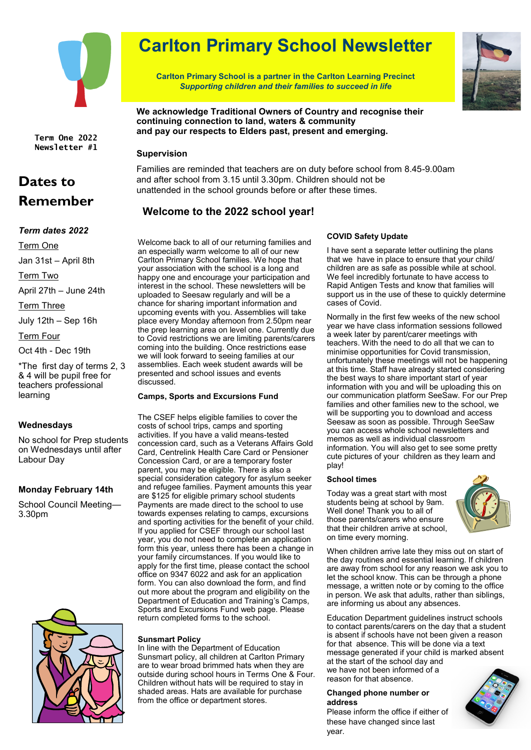

**Term One 2022 Newsletter #1**

## **Dates to Remember**

## *Term dates 2022*

Term One

Jan 31st – April 8th

Term Two

April 27th – June 24th

Term Three

July 12th – Sep 16h

Term Four

Oct 4th - Dec 19th

\*The first day of terms 2, 3 & 4 will be pupil free for teachers professional learning

## **Wednesdays**

No school for Prep students on Wednesdays until after Labour Day

## **Monday February 14th**

School Council Meeting— 3.30pm



# **Carlton Primary School Newsletter**

**Carlton Primary School is a partner in the Carlton Learning Precinct** *Supporting children and their families to succeed in life*



**We acknowledge Traditional Owners of Country and recognise their continuing connection to land, waters & community and pay our respects to Elders past, present and emerging.**

## **Supervision**

Families are reminded that teachers are on duty before school from 8.45-9.00am and after school from 3.15 until 3.30pm. Children should not be unattended in the school grounds before or after these times.

## **Welcome to the 2022 school year!**

Welcome back to all of our returning families and an especially warm welcome to all of our new Carlton Primary School families. We hope that your association with the school is a long and happy one and encourage your participation and interest in the school. These newsletters will be uploaded to Seesaw regularly and will be a chance for sharing important information and upcoming events with you. Assemblies will take place every Monday afternoon from 2.50pm near the prep learning area on level one. Currently due to Covid restrictions we are limiting parents/carers coming into the building. Once restrictions ease we will look forward to seeing families at our assemblies. Each week student awards will be presented and school issues and events discussed.

## **Camps, Sports and Excursions Fund**

The CSEF helps eligible families to cover the costs of school trips, camps and sporting activities. If you have a valid means-tested concession card, such as a Veterans Affairs Gold Card, Centrelink Health Care Card or Pensioner Concession Card, or are a temporary foster parent, you may be eligible. There is also a special consideration category for asylum seeker and refugee families. Payment amounts this year are \$125 for eligible primary school students Payments are made direct to the school to use towards expenses relating to camps, excursions and sporting activities for the benefit of your child. If you applied for CSEF through our school last year, you do not need to complete an application form this year, unless there has been a change in your family circumstances. If you would like to apply for the first time, please contact the school office on 9347 6022 and ask for an application form. You can also download the form, and find out more about the program and eligibility on the Department of Education and Training's Camps, Sports and Excursions Fund web page. Please return completed forms to the school.

## **Sunsmart Policy**

In line with the Department of Education Sunsmart policy, all children at Carlton Primary are to wear broad brimmed hats when they are outside during school hours in Terms One & Four. Children without hats will be required to stay in shaded areas. Hats are available for purchase from the office or department stores.

## **COVID Safety Update**

I have sent a separate letter outlining the plans that we have in place to ensure that your child/ children are as safe as possible while at school. We feel incredibly fortunate to have access to Rapid Antigen Tests and know that families will support us in the use of these to quickly determine cases of Covid.

Normally in the first few weeks of the new school year we have class information sessions followed a week later by parent/carer meetings with teachers. With the need to do all that we can to minimise opportunities for Covid transmission, unfortunately these meetings will not be happening at this time. Staff have already started considering the best ways to share important start of year information with you and will be uploading this on our communication platform SeeSaw. For our Prep families and other families new to the school, we will be supporting you to download and access Seesaw as soon as possible. Through SeeSaw you can access whole school newsletters and memos as well as individual classroom information. You will also get to see some pretty cute pictures of your children as they learn and play!

## **School times**

Today was a great start with most students being at school by 9am. Well done! Thank you to all of those parents/carers who ensure that their children arrive at school, on time every morning.



When children arrive late they miss out on start of the day routines and essential learning. If children are away from school for any reason we ask you to let the school know. This can be through a phone message, a written note or by coming to the office in person. We ask that adults, rather than siblings, are informing us about any absences.

Education Department guidelines instruct schools to contact parents/carers on the day that a student is absent if schools have not been given a reason for that absence. This will be done via a text message generated if your child is marked absent at the start of the school day and we have not been informed of a reason for that absence.

## **Changed phone number or address**

Please inform the office if either of these have changed since last year.